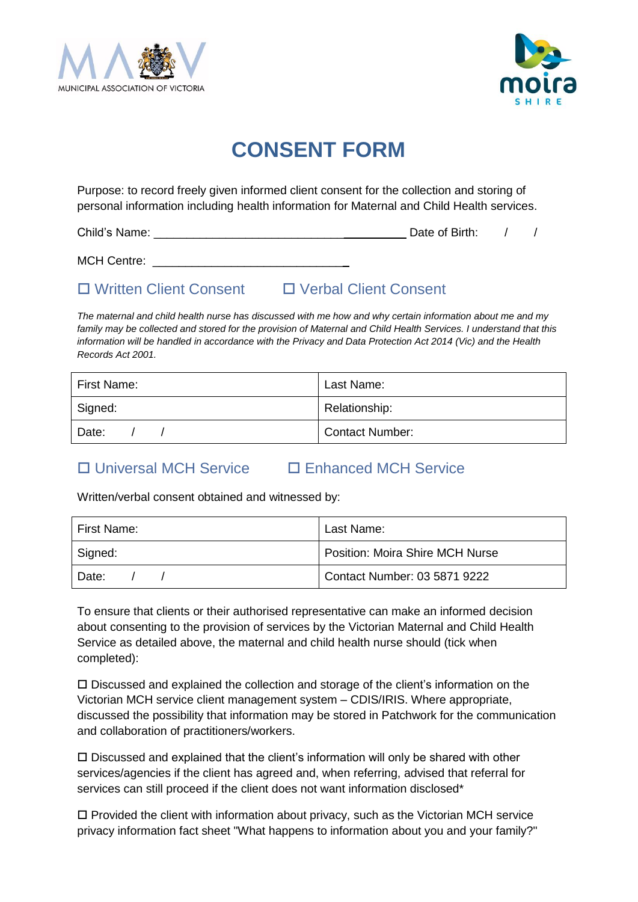



## **CONSENT FORM**

Purpose: to record freely given informed client consent for the collection and storing of personal information including health information for Maternal and Child Health services.

Child's Name: \_\_\_\_\_\_\_\_\_\_\_\_\_\_\_\_\_\_\_\_\_\_\_\_\_\_\_\_\_\_ Date of Birth: / /

MCH Centre:

## Written Client Consent Verbal Client Consent

*The maternal and child health nurse has discussed with me how and why certain information about me and my family may be collected and stored for the provision of Maternal and Child Health Services. I understand that this information will be handled in accordance with the Privacy and Data Protection Act 2014 (Vic) and the Health Records Act 2001.* 

| First Name: | Last Name:             |
|-------------|------------------------|
| Signed:     | Relationship:          |
| Date:       | <b>Contact Number:</b> |

## □ Universal MCH Service □ Enhanced MCH Service

Written/verbal consent obtained and witnessed by:

| First Name: | Last Name:                             |
|-------------|----------------------------------------|
| Signed:     | <b>Position: Moira Shire MCH Nurse</b> |
| Date:       | Contact Number: 03 5871 9222           |

To ensure that clients or their authorised representative can make an informed decision about consenting to the provision of services by the Victorian Maternal and Child Health Service as detailed above, the maternal and child health nurse should (tick when completed):

 Discussed and explained the collection and storage of the client's information on the Victorian MCH service client management system – CDIS/IRIS. Where appropriate, discussed the possibility that information may be stored in Patchwork for the communication and collaboration of practitioners/workers.

 $\square$  Discussed and explained that the client's information will only be shared with other services/agencies if the client has agreed and, when referring, advised that referral for services can still proceed if the client does not want information disclosed\*

 $\Box$  Provided the client with information about privacy, such as the Victorian MCH service privacy information fact sheet "What happens to information about you and your family?"